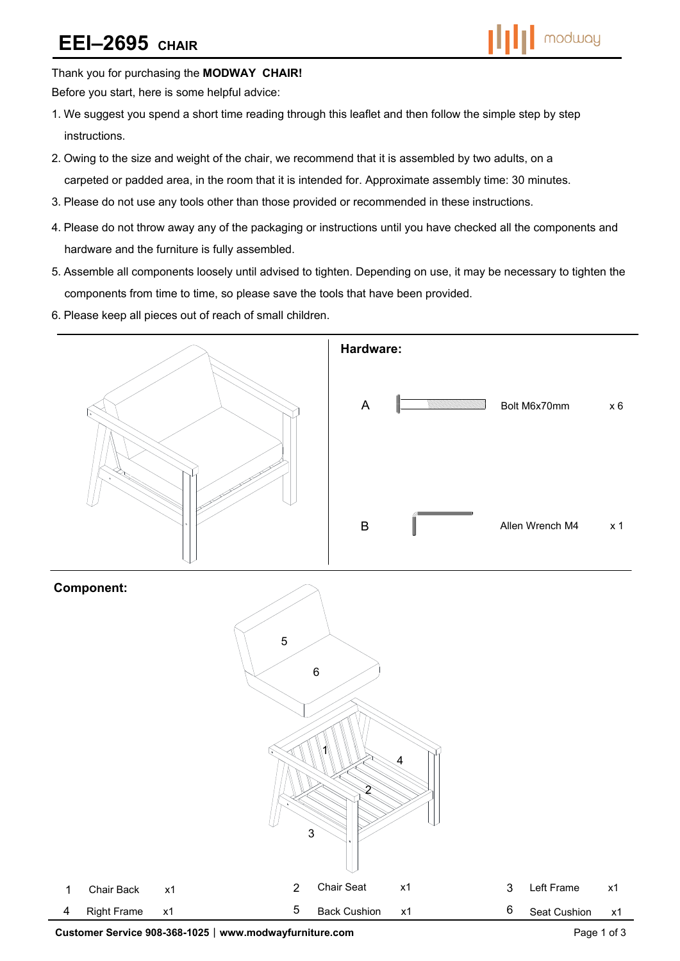# **EEI–2695 CHAIR**



Thank you for purchasing the **MODWAY CHAIR!** 

Before you start, here is some helpful advice:

- 1.We suggest you spend a short time reading through this leaflet and then follow the simple step by step instructions.
- 2.Owing to the size and weight of the chair, we recommend that it is assembled by two adults, on a carpeted or padded area, in the room that it is intended for. Approximate assembly time: 30 minutes.
- 3.Please do not use any tools other than those provided or recommended in these instructions.
- 4.Please do not throw away any of the packaging or instructions until you have checked all the components and hardware and the furniture is fully assembled.
- 5.Assemble all components loosely until advised to tighten. Depending on use, it may be necessary to tighten the components from time to time, so please save the tools that have been provided.
- 6.Please keep all pieces out of reach of small children.



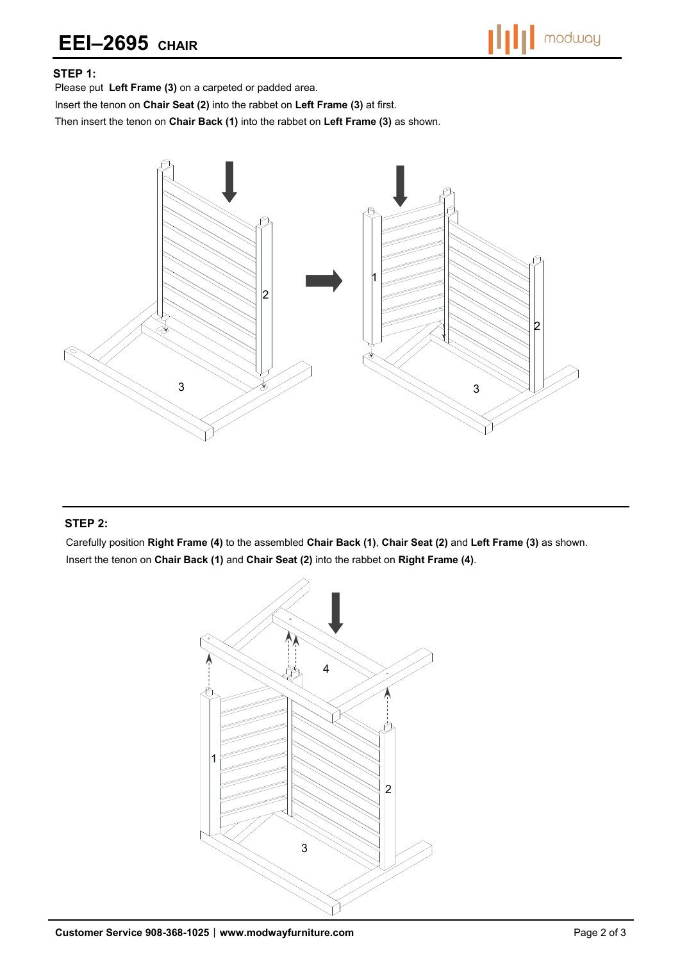## **EEI–2695 CHAIR**

#### **STEP 1:**

Please put **Left Frame (3)** on a carpeted or padded area.

Insert the tenon on **Chair Seat (2)** into the rabbet on **Left Frame (3)** at first.

Then insert the tenon on **Chair Back (1)** into the rabbet on **Left Frame (3)** as shown.



#### **STEP 2:**

Carefully position **Right Frame (4)** to the assembled **Chair Back (1)**, **Chair Seat (2)** and **Left Frame (3)** as shown. Insert the tenon on **Chair Back (1)** and **Chair Seat (2)** into the rabbet on **Right Frame (4)**.